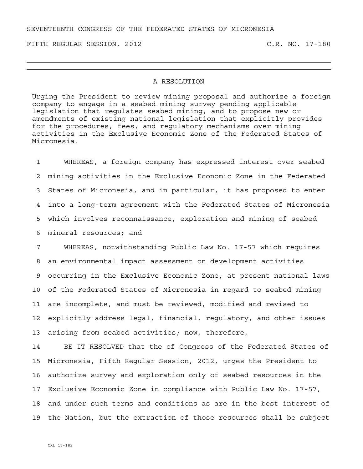SEVENTEENTH CONGRESS OF THE FEDERATED STATES OF MICRONESIA

FIFTH REGULAR SESSION, 2012 C.R. NO. 17-180

## A RESOLUTION

Urging the President to review mining proposal and authorize a foreign company to engage in a seabed mining survey pending applicable legislation that regulates seabed mining, and to propose new or amendments of existing national legislation that explicitly provides for the procedures, fees, and regulatory mechanisms over mining activities in the Exclusive Economic Zone of the Federated States of Micronesia.

1 WHEREAS, a foreign company has expressed interest over seabed 2 mining activities in the Exclusive Economic Zone in the Federated 3 States of Micronesia, and in particular, it has proposed to enter 4 into a long-term agreement with the Federated States of Micronesia 5 which involves reconnaissance, exploration and mining of seabed 6 mineral resources; and

7 WHEREAS, notwithstanding Public Law No. 17-57 which requires 8 an environmental impact assessment on development activities 9 occurring in the Exclusive Economic Zone, at present national laws 10 of the Federated States of Micronesia in regard to seabed mining 11 are incomplete, and must be reviewed, modified and revised to 12 explicitly address legal, financial, regulatory, and other issues 13 arising from seabed activities; now, therefore,

14 BE IT RESOLVED that the of Congress of the Federated States of 15 Micronesia, Fifth Regular Session, 2012, urges the President to 16 authorize survey and exploration only of seabed resources in the 17 Exclusive Economic Zone in compliance with Public Law No. 17-57, 18 and under such terms and conditions as are in the best interest of 19 the Nation, but the extraction of those resources shall be subject